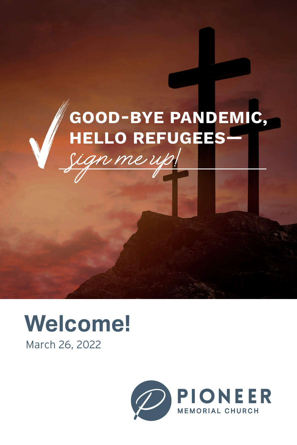# sign me up! GOOD-BYE PANDEMIC, HELLO REFUGEES—



March 26, 2022

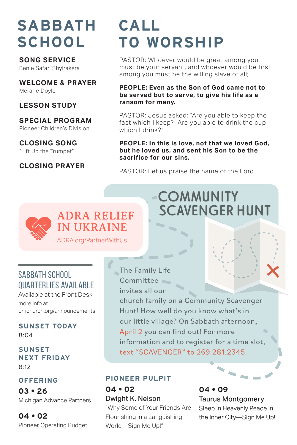# **SABBATH SCHOOL**

**SONG SERVICE**  Benie Safari Shyirakera

**WELCOME & PRAYER** Merarie Doyle

#### **LESSON STUDY**

**SPECIAL PROGRAM** Pioneer Children's Division

#### **CLOSING SONG**

"Lift Up the Trumpet"

#### **CLOSING PRAYER**

# **CALL TO WORSHIP**

PASTOR: Whoever would be great among you must be your servant, and whoever would be first among you must be the willing slave of all;

#### **PEOPLE: Even as the Son of God came not to be served but to serve, to give his life as a ransom for many.**

PASTOR: Jesus asked: "Are you able to keep the fast which I keep? Are you able to drink the cup which I drink?"

#### **PEOPLE: In this is love, not that we loved God, but he loved us, and sent his Son to be the sacrifice for our sins.**

**COMMUNITY** 

 **SCAVENGER HUNT**

PASTOR: Let us praise the name of the Lord.

# ADRA RELIEF IN UKRAINE

ADRA.org/PartnerWithUs

## SABBATH SCHOOL QUARTERLIES AVAILABLE

Available at the Front Desk more info at pmchurch.org/announcements

**SUNSET TODAY** 8:04

**SUNSET NEXT FRIDAY** 8:12

#### **OFFERING**

**03 • 26** Michigan Advance Partners

**04 • 02** Pioneer Operating Budget The Family Life Committee invites all our

church family on a Community Scavenger Hunt! How well do you know what's in our little village? On Sabbath afternoon, April 2 you can find out! For more information and to register for a time slot, text "SCAVENGER" to 269.281.2345.

#### **PIONEER PULPIT**

**04 • 02** Dwight K. Nelson

"Why Some of Your Friends Are Flourishing in a Languishing World—Sign Me Up!"

**04 • 09** Taurus Montgomery Sleep in Heavenly Peace in the Inner City—Sign Me Up!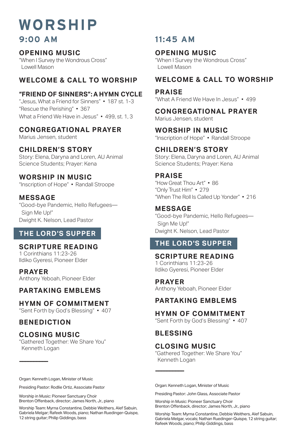# **WORSHIP 9:00 AM 11:45 AM**

#### **OPENING MUSIC**

"When I Survey the Wondrous Cross" Lowell Mason

### **WELCOME & CALL TO WORSHIP**

#### **"FRIEND OF SINNERS": A HYMN CYCLE**

"Jesus, What a Friend for Sinners" • 187 st. 1-3 "Rescue the Perishing" • 367 What a Friend We Have in Jesus" • 499, st. 1, 3

#### **CONGREGATIONAL PRAYER**

Marius Jensen, student

#### **CHILDREN'S STORY**

Story: Elena, Daryna and Loren, AU Animal Science Students; Prayer: Kena

#### **WORSHIP IN MUSIC**

"Inscription of Hope" • Randall Stroope

#### **MESSAGE**

"Good-bye Pandemic, Hello Refugees— Sign Me Up!" Dwight K. Nelson, Lead Pastor

#### **THE LORD'S SUPPER**

#### **SCRIPTURE READING**

1 Corinthians 11:23-26 Ildiko Gyeresi, Pioneer Elder

**PRAYER** Anthony Yeboah, Pioneer Elder

#### **PARTAKING EMBLEMS**

#### **HYMN OF COMMITMENT**

"Sent Forth by God's Blessing" • 407

#### **BENEDICTION**

**——————————**

#### **CLOSING MUSIC**

"Gathered Together: We Share You" Kenneth Logan

#### **OPENING MUSIC**

"When I Survey the Wondrous Cross" Lowell Mason

#### **WELCOME & CALL TO WORSHIP**

#### **PRAISE**

"What A Friend We Have In Jesus" • 499

**CONGREGATIONAL PRAYER** Marius Jensen, student

**WORSHIP IN MUSIC** "Inscription of Hope" • Randall Stroope

#### **CHILDREN'S STORY**

Story: Elena, Daryna and Loren, AU Animal Science Students; Prayer: Kena

#### **PRAISE**

"How Great Thou Art" • 86 "Only Trust Him" • 279 "When The Roll Is Called Up Yonder" • 216

#### **MESSAGE**

"Good-bye Pandemic, Hello Refugees— Sign Me Up!" Dwight K. Nelson, Lead Pastor

### **THE LORD'S SUPPER**

**SCRIPTURE READING** 1 Corinthians 11:23-26 Ildiko Gyeresi, Pioneer Elder

**PRAYER** Anthony Yeboah, Pioneer Elder

### **PARTAKING EMBLEMS**

#### **HYMN OF COMMITMENT**

"Sent Forth by God's Blessing" • 407

#### **BLESSING**

**——————————**

#### **CLOSING MUSIC**

"Gathered Together: We Share You" Kenneth Logan

Organ: Kenneth Logan, Minister of Music

Presiding Pastor: Rodlie Ortiz, Associate Pastor

Worship in Music: Pioneer Sanctuary Choir Brenton Offenback, director; James North, Jr., piano

Worship Team: Myrna Constantine, Debbie Weithers, Alef Sabuin, Gabriela Melgar; Rafeek Woods, piano; Nathan Ruedinger-Quispe, 12 string guitar; Philip Giddings, bass

Organ: Kenneth Logan, Minister of Music

Presiding Pastor: John Glass, Associate Pastor

Worship in Music: Pioneer Sanctuary Choir Brenton Offenback, director; James North, Jr., piano

Worship Team: Myrna Constantine, Debbie Weithers, Alef Sabuin, Gabriela Melgar, vocals; Nathan Ruedinger-Quispe, 12 string guitar; Rafeek Woods, piano; Philip Giddings, bass